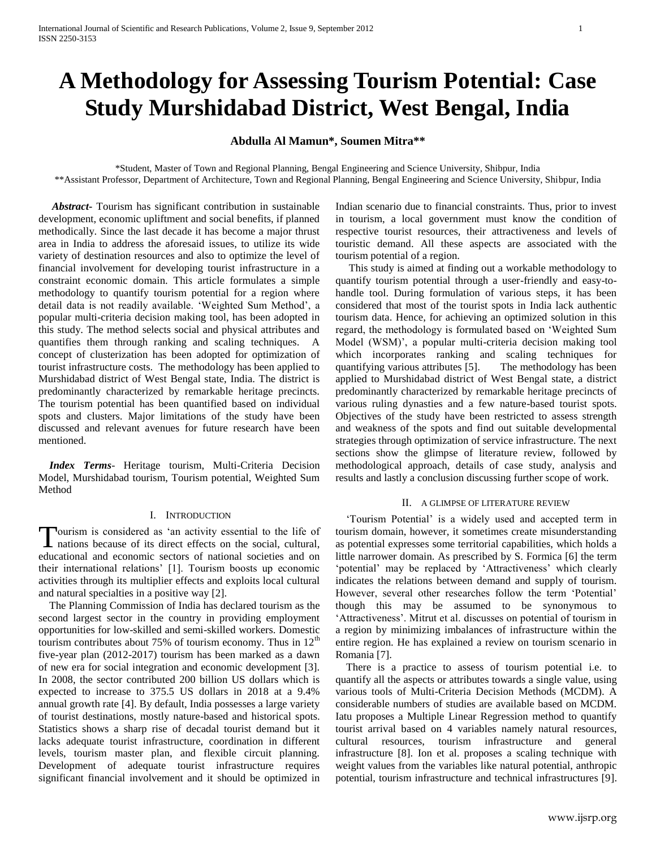# **A Methodology for Assessing Tourism Potential: Case Study Murshidabad District, West Bengal, India**

# **Abdulla Al Mamun\*, Soumen Mitra\*\***

\*Student, Master of Town and Regional Planning, Bengal Engineering and Science University, Shibpur, India \*\*Assistant Professor, Department of Architecture, Town and Regional Planning, Bengal Engineering and Science University, Shibpur, India

 *Abstract***-** Tourism has significant contribution in sustainable development, economic upliftment and social benefits, if planned methodically. Since the last decade it has become a major thrust area in India to address the aforesaid issues, to utilize its wide variety of destination resources and also to optimize the level of financial involvement for developing tourist infrastructure in a constraint economic domain. This article formulates a simple methodology to quantify tourism potential for a region where detail data is not readily available. 'Weighted Sum Method', a popular multi-criteria decision making tool, has been adopted in this study. The method selects social and physical attributes and quantifies them through ranking and scaling techniques. A concept of clusterization has been adopted for optimization of tourist infrastructure costs. The methodology has been applied to Murshidabad district of West Bengal state, India. The district is predominantly characterized by remarkable heritage precincts. The tourism potential has been quantified based on individual spots and clusters. Major limitations of the study have been discussed and relevant avenues for future research have been mentioned.

 *Index Terms*- Heritage tourism, Multi-Criteria Decision Model, Murshidabad tourism, Tourism potential, Weighted Sum Method

#### I. INTRODUCTION

ourism is considered as "an activity essential to the life of Tourism is considered as 'an activity essential to the life of nations because of its direct effects on the social, cultural, educational and economic sectors of national societies and on their international relations" [1]. Tourism boosts up economic activities through its multiplier effects and exploits local cultural and natural specialties in a positive way [2].

 The Planning Commission of India has declared tourism as the second largest sector in the country in providing employment opportunities for low-skilled and semi-skilled workers. Domestic tourism contributes about 75% of tourism economy. Thus in  $12<sup>th</sup>$ five-year plan (2012-2017) tourism has been marked as a dawn of new era for social integration and economic development [3]. In 2008, the sector contributed 200 billion US dollars which is expected to increase to 375.5 US dollars in 2018 at a 9.4% annual growth rate [4]. By default, India possesses a large variety of tourist destinations, mostly nature-based and historical spots. Statistics shows a sharp rise of decadal tourist demand but it lacks adequate tourist infrastructure, coordination in different levels, tourism master plan, and flexible circuit planning. Development of adequate tourist infrastructure requires significant financial involvement and it should be optimized in Indian scenario due to financial constraints. Thus, prior to invest in tourism, a local government must know the condition of respective tourist resources, their attractiveness and levels of touristic demand. All these aspects are associated with the tourism potential of a region.

 This study is aimed at finding out a workable methodology to quantify tourism potential through a user-friendly and easy-tohandle tool. During formulation of various steps, it has been considered that most of the tourist spots in India lack authentic tourism data. Hence, for achieving an optimized solution in this regard, the methodology is formulated based on "Weighted Sum Model (WSM)', a popular multi-criteria decision making tool which incorporates ranking and scaling techniques for quantifying various attributes [5]. The methodology has been applied to Murshidabad district of West Bengal state, a district predominantly characterized by remarkable heritage precincts of various ruling dynasties and a few nature-based tourist spots. Objectives of the study have been restricted to assess strength and weakness of the spots and find out suitable developmental strategies through optimization of service infrastructure. The next sections show the glimpse of literature review, followed by methodological approach, details of case study, analysis and results and lastly a conclusion discussing further scope of work.

#### II. A GLIMPSE OF LITERATURE REVIEW

 "Tourism Potential" is a widely used and accepted term in tourism domain, however, it sometimes create misunderstanding as potential expresses some territorial capabilities, which holds a little narrower domain. As prescribed by S. Formica [6] the term "potential" may be replaced by "Attractiveness" which clearly indicates the relations between demand and supply of tourism. However, several other researches follow the term "Potential" though this may be assumed to be synonymous to "Attractiveness". Mitrut et al. discusses on potential of tourism in a region by minimizing imbalances of infrastructure within the entire region. He has explained a review on tourism scenario in Romania [7].

 There is a practice to assess of tourism potential i.e. to quantify all the aspects or attributes towards a single value, using various tools of Multi-Criteria Decision Methods (MCDM). A considerable numbers of studies are available based on MCDM. Iatu proposes a Multiple Linear Regression method to quantify tourist arrival based on 4 variables namely natural resources, cultural resources, tourism infrastructure and general infrastructure [8]. Ion et al. proposes a scaling technique with weight values from the variables like natural potential, anthropic potential, tourism infrastructure and technical infrastructures [9].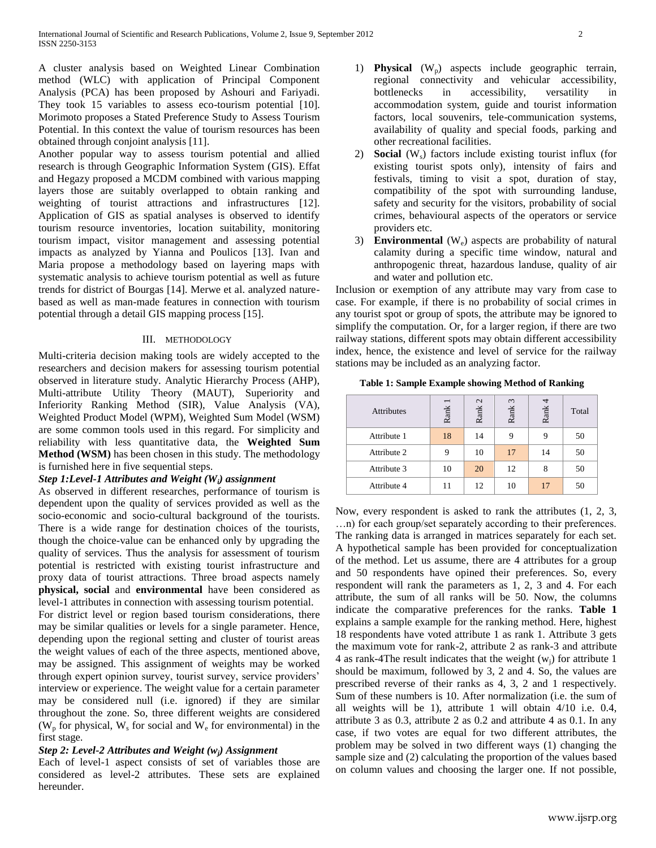A cluster analysis based on Weighted Linear Combination method (WLC) with application of Principal Component Analysis (PCA) has been proposed by Ashouri and Fariyadi. They took 15 variables to assess eco-tourism potential [10]. Morimoto proposes a Stated Preference Study to Assess Tourism Potential. In this context the value of tourism resources has been obtained through conjoint analysis [11].

Another popular way to assess tourism potential and allied research is through Geographic Information System (GIS). Effat and Hegazy proposed a MCDM combined with various mapping layers those are suitably overlapped to obtain ranking and weighting of tourist attractions and infrastructures [12]. Application of GIS as spatial analyses is observed to identify tourism resource inventories, location suitability, monitoring tourism impact, visitor management and assessing potential impacts as analyzed by Yianna and Poulicos [13]. Ivan and Maria propose a methodology based on layering maps with systematic analysis to achieve tourism potential as well as future trends for district of Bourgas [14]. Merwe et al. analyzed naturebased as well as man-made features in connection with tourism potential through a detail GIS mapping process [15].

#### III. METHODOLOGY

Multi-criteria decision making tools are widely accepted to the researchers and decision makers for assessing tourism potential observed in literature study. Analytic Hierarchy Process (AHP), Multi-attribute Utility Theory (MAUT), Superiority and Inferiority Ranking Method (SIR), Value Analysis (VA), Weighted Product Model (WPM), Weighted Sum Model (WSM) are some common tools used in this regard. For simplicity and reliability with less quantitative data, the **Weighted Sum Method (WSM)** has been chosen in this study. The methodology is furnished here in five sequential steps.

# *Step 1:Level-1 Attributes and Weight (Wi) assignment*

As observed in different researches, performance of tourism is dependent upon the quality of services provided as well as the socio-economic and socio-cultural background of the tourists. There is a wide range for destination choices of the tourists, though the choice-value can be enhanced only by upgrading the quality of services. Thus the analysis for assessment of tourism potential is restricted with existing tourist infrastructure and proxy data of tourist attractions. Three broad aspects namely **physical, social** and **environmental** have been considered as level-1 attributes in connection with assessing tourism potential.

For district level or region based tourism considerations, there may be similar qualities or levels for a single parameter. Hence, depending upon the regional setting and cluster of tourist areas the weight values of each of the three aspects, mentioned above, may be assigned. This assignment of weights may be worked through expert opinion survey, tourist survey, service providers" interview or experience. The weight value for a certain parameter may be considered null (i.e. ignored) if they are similar throughout the zone. So, three different weights are considered ( $W_p$  for physical,  $W_s$  for social and  $W_e$  for environmental) in the first stage.

## *Step 2: Level-2 Attributes and Weight (wj) Assignment*

Each of level-1 aspect consists of set of variables those are considered as level-2 attributes. These sets are explained hereunder.

- 1) **Physical**  $(W_n)$  aspects include geographic terrain, regional connectivity and vehicular accessibility, bottlenecks in accessibility, versatility in accommodation system, guide and tourist information factors, local souvenirs, tele-communication systems, availability of quality and special foods, parking and other recreational facilities.
- 2) **Social** (W<sub>s</sub>) factors include existing tourist influx (for existing tourist spots only), intensity of fairs and festivals, timing to visit a spot, duration of stay, compatibility of the spot with surrounding landuse, safety and security for the visitors, probability of social crimes, behavioural aspects of the operators or service providers etc.
- 3) **Environmental** (We) aspects are probability of natural calamity during a specific time window, natural and anthropogenic threat, hazardous landuse, quality of air and water and pollution etc.

Inclusion or exemption of any attribute may vary from case to case. For example, if there is no probability of social crimes in any tourist spot or group of spots, the attribute may be ignored to simplify the computation. Or, for a larger region, if there are two railway stations, different spots may obtain different accessibility index, hence, the existence and level of service for the railway stations may be included as an analyzing factor.

| Table 1: Sample Example showing Method of Ranking |  |  |  |  |  |  |  |
|---------------------------------------------------|--|--|--|--|--|--|--|
|---------------------------------------------------|--|--|--|--|--|--|--|

| <b>Attributes</b> | Rank | $\mathcal{L}$<br>Rank | $\omega$<br>Rank | Rank | Total |
|-------------------|------|-----------------------|------------------|------|-------|
| Attribute 1       | 18   | 14                    |                  | 9    | 50    |
| Attribute 2       | 9    | 10                    | 17               | 14   | 50    |
| Attribute 3       | 10   | 20                    | 12               |      | 50    |
| Attribute 4       | 11   | 12                    | 10               | 17   | 50    |

Now, every respondent is asked to rank the attributes (1, 2, 3, …n) for each group/set separately according to their preferences. The ranking data is arranged in matrices separately for each set. A hypothetical sample has been provided for conceptualization of the method. Let us assume, there are 4 attributes for a group and 50 respondents have opined their preferences. So, every respondent will rank the parameters as 1, 2, 3 and 4. For each attribute, the sum of all ranks will be 50. Now, the columns indicate the comparative preferences for the ranks. **Table 1** explains a sample example for the ranking method. Here, highest 18 respondents have voted attribute 1 as rank 1. Attribute 3 gets the maximum vote for rank-2, attribute 2 as rank-3 and attribute 4 as rank-4The result indicates that the weight  $(w_i)$  for attribute 1 should be maximum, followed by 3, 2 and 4. So, the values are prescribed reverse of their ranks as 4, 3, 2 and 1 respectively. Sum of these numbers is 10. After normalization (i.e. the sum of all weights will be 1), attribute 1 will obtain 4/10 i.e. 0.4, attribute 3 as 0.3, attribute 2 as 0.2 and attribute 4 as 0.1. In any case, if two votes are equal for two different attributes, the problem may be solved in two different ways (1) changing the sample size and (2) calculating the proportion of the values based on column values and choosing the larger one. If not possible,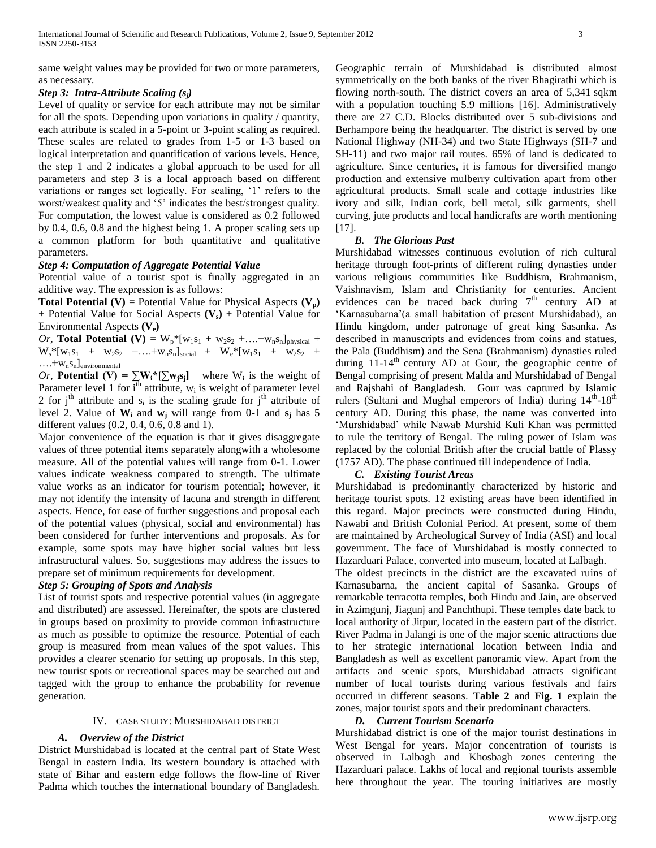same weight values may be provided for two or more parameters, as necessary.

## *Step 3: Intra-Attribute Scaling (sj)*

Level of quality or service for each attribute may not be similar for all the spots. Depending upon variations in quality / quantity, each attribute is scaled in a 5-point or 3-point scaling as required. These scales are related to grades from 1-5 or 1-3 based on logical interpretation and quantification of various levels. Hence, the step 1 and 2 indicates a global approach to be used for all parameters and step 3 is a local approach based on different variations or ranges set logically. For scaling, '1' refers to the worst/weakest quality and "5" indicates the best/strongest quality. For computation, the lowest value is considered as 0.2 followed by 0.4, 0.6, 0.8 and the highest being 1. A proper scaling sets up a common platform for both quantitative and qualitative parameters.

## *Step 4: Computation of Aggregate Potential Value*

Potential value of a tourist spot is finally aggregated in an additive way. The expression is as follows:

**Total Potential (V)** = Potential Value for Physical Aspects  $(V_p)$ + Potential Value for Social Aspects **(Vs)** + Potential Value for Environmental Aspects **(Ve)**

*Or*, **Total Potential (V)** =  $W_p^*[w_1s_1 + w_2s_2 + ... + w_ns_n]_{physical}$  +  $W_s * [w_1s_1 + w_2s_2 + ... + w_ns_n]_{social} + W_e * [w_1s_1 + w_2s_2 + ... + w_ns_n]$  $\dots$ + $W_nS_n$ ]environmental

*Or*, **Potential (V)** =  $\sum W_i^* [\sum w_j s_j]$  where  $W_i$  is the weight of Parameter level 1 for  $\overline{i^{th}}$  attribute,  $w_i$  is weight of parameter level 2 for  $j<sup>th</sup>$  attribute and  $s<sub>i</sub>$  is the scaling grade for  $j<sup>th</sup>$  attribute of level 2. Value of  $W_i$  and  $w_i$  will range from 0-1 and  $s_i$  has 5 different values (0.2, 0.4, 0.6, 0.8 and 1).

Major convenience of the equation is that it gives disaggregate values of three potential items separately alongwith a wholesome measure. All of the potential values will range from 0-1. Lower values indicate weakness compared to strength. The ultimate value works as an indicator for tourism potential; however, it may not identify the intensity of lacuna and strength in different aspects. Hence, for ease of further suggestions and proposal each of the potential values (physical, social and environmental) has been considered for further interventions and proposals. As for example, some spots may have higher social values but less infrastructural values. So, suggestions may address the issues to prepare set of minimum requirements for development.

## *Step 5: Grouping of Spots and Analysis*

List of tourist spots and respective potential values (in aggregate and distributed) are assessed. Hereinafter, the spots are clustered in groups based on proximity to provide common infrastructure as much as possible to optimize the resource. Potential of each group is measured from mean values of the spot values. This provides a clearer scenario for setting up proposals. In this step, new tourist spots or recreational spaces may be searched out and tagged with the group to enhance the probability for revenue generation.

# IV. CASE STUDY: MURSHIDABAD DISTRICT

## *A. Overview of the District*

District Murshidabad is located at the central part of State West Bengal in eastern India. Its western boundary is attached with state of Bihar and eastern edge follows the flow-line of River Padma which touches the international boundary of Bangladesh.

Geographic terrain of Murshidabad is distributed almost symmetrically on the both banks of the river Bhagirathi which is flowing north-south. The district covers an area of 5,341 sqkm with a population touching 5.9 millions [16]. Administratively there are 27 C.D. Blocks distributed over 5 sub-divisions and Berhampore being the headquarter. The district is served by one National Highway (NH-34) and two State Highways (SH-7 and SH-11) and two major rail routes. 65% of land is dedicated to agriculture. Since centuries, it is famous for diversified mango production and extensive mulberry cultivation apart from other agricultural products. Small scale and cottage industries like ivory and silk, Indian cork, bell metal, silk garments, shell curving, jute products and local handicrafts are worth mentioning  $[17]$ .

## *B. The Glorious Past*

Murshidabad witnesses continuous evolution of rich cultural heritage through foot-prints of different ruling dynasties under various religious communities like Buddhism, Brahmanism, Vaishnavism, Islam and Christianity for centuries. Ancient evidences can be traced back during  $7<sup>th</sup>$  century AD at "Karnasubarna"(a small habitation of present Murshidabad), an Hindu kingdom, under patronage of great king Sasanka. As described in manuscripts and evidences from coins and statues, the Pala (Buddhism) and the Sena (Brahmanism) dynasties ruled during  $11-14$ <sup>th</sup> century AD at Gour, the geographic centre of Bengal comprising of present Malda and Murshidabad of Bengal and Rajshahi of Bangladesh. Gour was captured by Islamic rulers (Sultani and Mughal emperors of India) during  $14^{th}$ - $18^{th}$ century AD. During this phase, the name was converted into "Murshidabad" while Nawab Murshid Kuli Khan was permitted to rule the territory of Bengal. The ruling power of Islam was replaced by the colonial British after the crucial battle of Plassy (1757 AD). The phase continued till independence of India.

## *C. Existing Tourist Areas*

Murshidabad is predominantly characterized by historic and heritage tourist spots. 12 existing areas have been identified in this regard. Major precincts were constructed during Hindu, Nawabi and British Colonial Period. At present, some of them are maintained by Archeological Survey of India (ASI) and local government. The face of Murshidabad is mostly connected to Hazarduari Palace, converted into museum, located at Lalbagh.

The oldest precincts in the district are the excavated ruins of Karnasubarna, the ancient capital of Sasanka. Groups of remarkable terracotta temples, both Hindu and Jain, are observed in Azimgunj, Jiagunj and Panchthupi. These temples date back to local authority of Jitpur, located in the eastern part of the district. River Padma in Jalangi is one of the major scenic attractions due to her strategic international location between India and Bangladesh as well as excellent panoramic view. Apart from the artifacts and scenic spots, Murshidabad attracts significant number of local tourists during various festivals and fairs occurred in different seasons. **Table 2** and **Fig. 1** explain the zones, major tourist spots and their predominant characters.

## *D. Current Tourism Scenario*

Murshidabad district is one of the major tourist destinations in West Bengal for years. Major concentration of tourists is observed in Lalbagh and Khosbagh zones centering the Hazarduari palace. Lakhs of local and regional tourists assemble here throughout the year. The touring initiatives are mostly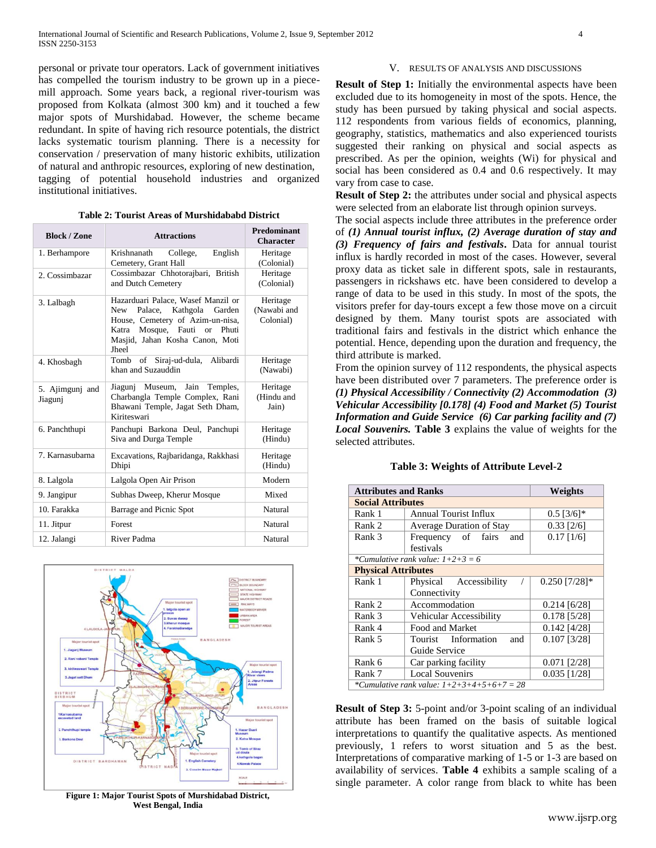personal or private tour operators. Lack of government initiatives has compelled the tourism industry to be grown up in a piecemill approach. Some years back, a regional river-tourism was proposed from Kolkata (almost 300 km) and it touched a few major spots of Murshidabad. However, the scheme became redundant. In spite of having rich resource potentials, the district lacks systematic tourism planning. There is a necessity for conservation / preservation of many historic exhibits, utilization of natural and anthropic resources, exploring of new destination, tagging of potential household industries and organized institutional initiatives.

| <b>Block / Zone</b>        | <b>Attractions</b>                                                                                                                                                                                   | Predominant<br><b>Character</b>      |
|----------------------------|------------------------------------------------------------------------------------------------------------------------------------------------------------------------------------------------------|--------------------------------------|
| 1. Berhampore              | English<br>Krishnanath<br>College,<br>Cemetery, Grant Hall                                                                                                                                           | Heritage<br>(Colonial)               |
| 2. Cossimbazar             | Cossimbazar Chhotorajbari, British<br>and Dutch Cemetery                                                                                                                                             | Heritage<br>(Colonial)               |
| 3. Lalbagh                 | Hazarduari Palace, Wasef Manzil or<br><b>New</b><br>Palace,<br>Kathgola<br>Garden<br>House, Cemetery of Azim-un-nisa,<br>Katra Mosque, Fauti or<br>Phuti<br>Masjid, Jahan Kosha Canon, Moti<br>Jheel | Heritage<br>(Nawabi and<br>Colonial) |
| 4. Khosbagh                | of Siraj-ud-dula,<br>Tomb<br>Alibardi<br>khan and Suzauddin                                                                                                                                          | Heritage<br>(Nawabi)                 |
| 5. Ajimgunj and<br>Jiagunj | Museum,<br>Jain<br>Temples,<br>Jiagunj<br>Charbangla Temple Complex, Rani<br>Bhawani Temple, Jagat Seth Dham,<br>Kiriteswari                                                                         | Heritage<br>(Hindu and<br>Jain)      |
| 6. Panchthupi              | Panchupi Barkona Deul, Panchupi<br>Siva and Durga Temple                                                                                                                                             | Heritage<br>(Hindu)                  |
| 7. Karnasubarna            | Excavations, Rajbaridanga, Rakkhasi<br>Dhipi                                                                                                                                                         | Heritage<br>(Hindu)                  |
| 8. Lalgola                 | Lalgola Open Air Prison                                                                                                                                                                              | Modern                               |
| 9. Jangipur                | Subhas Dweep, Kherur Mosque                                                                                                                                                                          | Mixed                                |
| 10. Farakka                | Barrage and Picnic Spot                                                                                                                                                                              | Natural                              |
| 11. Jitpur                 | Forest                                                                                                                                                                                               | Natural                              |
| 12. Jalangi                | River Padma                                                                                                                                                                                          | Natural                              |

|  |  |  |  | Table 2: Tourist Areas of Murshidababd District |  |
|--|--|--|--|-------------------------------------------------|--|
|--|--|--|--|-------------------------------------------------|--|



**Figure 1: Major Tourist Spots of Murshidabad District, West Bengal, India**

#### V. RESULTS OF ANALYSIS AND DISCUSSIONS

**Result of Step 1:** Initially the environmental aspects have been excluded due to its homogeneity in most of the spots. Hence, the study has been pursued by taking physical and social aspects. 112 respondents from various fields of economics, planning, geography, statistics, mathematics and also experienced tourists suggested their ranking on physical and social aspects as prescribed. As per the opinion, weights (Wi) for physical and social has been considered as 0.4 and 0.6 respectively. It may vary from case to case.

**Result of Step 2:** the attributes under social and physical aspects were selected from an elaborate list through opinion surveys.

The social aspects include three attributes in the preference order of *(1) Annual tourist influx, (2) Average duration of stay and (3) Frequency of fairs and festivals***.** Data for annual tourist influx is hardly recorded in most of the cases. However, several proxy data as ticket sale in different spots, sale in restaurants, passengers in rickshaws etc. have been considered to develop a range of data to be used in this study. In most of the spots, the visitors prefer for day-tours except a few those move on a circuit designed by them. Many tourist spots are associated with traditional fairs and festivals in the district which enhance the potential. Hence, depending upon the duration and frequency, the third attribute is marked.

From the opinion survey of 112 respondents, the physical aspects have been distributed over 7 parameters. The preference order is *(1) Physical Accessibility / Connectivity (2) Accommodation (3) Vehicular Accessibility [0.178] (4) Food and Market (5) Tourist Information and Guide Service (6) Car parking facility and (7) Local Souvenirs.* **Table 3** explains the value of weights for the selected attributes.

| <b>Attributes and Ranks</b> | Weights                                      |                 |  |  |  |  |  |  |  |  |  |  |
|-----------------------------|----------------------------------------------|-----------------|--|--|--|--|--|--|--|--|--|--|
|                             | <b>Social Attributes</b>                     |                 |  |  |  |  |  |  |  |  |  |  |
| Rank 1                      | Annual Tourist Influx                        | $0.5$ [3/6]*    |  |  |  |  |  |  |  |  |  |  |
| Rank 2                      | Average Duration of Stay                     | $0.33$ [2/6]    |  |  |  |  |  |  |  |  |  |  |
| Rank 3                      | Frequency of fairs<br>and                    | $0.17$ [1/6]    |  |  |  |  |  |  |  |  |  |  |
|                             | festivals                                    |                 |  |  |  |  |  |  |  |  |  |  |
|                             | *Cumulative rank value: $1+2+3=6$            |                 |  |  |  |  |  |  |  |  |  |  |
| <b>Physical Attributes</b>  |                                              |                 |  |  |  |  |  |  |  |  |  |  |
| Rank 1                      | Physical Accessibility                       | $0.250$ [7/28]* |  |  |  |  |  |  |  |  |  |  |
|                             | Connectivity                                 |                 |  |  |  |  |  |  |  |  |  |  |
| Rank 2                      | Accommodation                                | $0.214$ [6/28]  |  |  |  |  |  |  |  |  |  |  |
| Rank 3                      | Vehicular Accessibility                      | $0.178$ [5/28]  |  |  |  |  |  |  |  |  |  |  |
| Rank 4                      | Food and Market                              | $0.142$ [4/28]  |  |  |  |  |  |  |  |  |  |  |
| Rank 5                      | Tourist Information<br>and                   | $0.107$ [3/28]  |  |  |  |  |  |  |  |  |  |  |
|                             | Guide Service                                |                 |  |  |  |  |  |  |  |  |  |  |
| Rank 6                      | Car parking facility                         | $0.071$ [2/28]  |  |  |  |  |  |  |  |  |  |  |
| Rank 7                      | <b>Local Souvenirs</b>                       | $0.035$ [1/28]  |  |  |  |  |  |  |  |  |  |  |
|                             | *Cumulative rank value: $1+2+3+4+5+6+7 = 28$ |                 |  |  |  |  |  |  |  |  |  |  |

#### **Table 3: Weights of Attribute Level-2**

**Result of Step 3:** 5-point and/or 3-point scaling of an individual attribute has been framed on the basis of suitable logical interpretations to quantify the qualitative aspects. As mentioned previously, 1 refers to worst situation and 5 as the best. Interpretations of comparative marking of 1-5 or 1-3 are based on availability of services. **Table 4** exhibits a sample scaling of a single parameter. A color range from black to white has been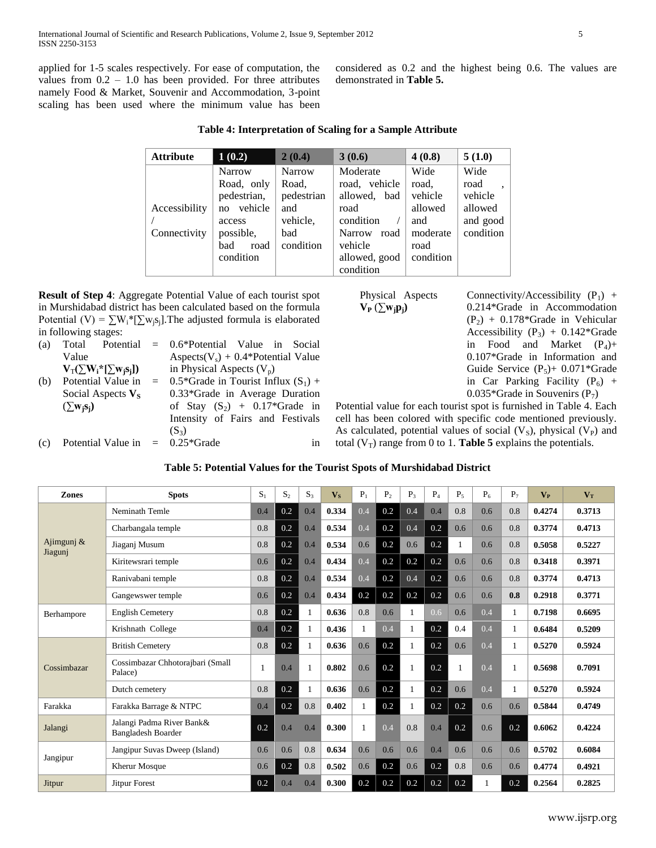applied for 1-5 scales respectively. For ease of computation, the values from  $0.2 - 1.0$  has been provided. For three attributes namely Food & Market, Souvenir and Accommodation, 3-point scaling has been used where the minimum value has been

considered as 0.2 and the highest being 0.6. The values are demonstrated in **Table 5.** 

| Table 4: Interpretation of Scaling for a Sample Attribute |  |  |
|-----------------------------------------------------------|--|--|
|-----------------------------------------------------------|--|--|

| <b>Attribute</b>              | 1(0.2)                                                                                                         | 2(0.4)                                                                      | 3(0.6)                                                                                                                           | 4(0.8)                                                                      | 5(1.0)                                                      |
|-------------------------------|----------------------------------------------------------------------------------------------------------------|-----------------------------------------------------------------------------|----------------------------------------------------------------------------------------------------------------------------------|-----------------------------------------------------------------------------|-------------------------------------------------------------|
| Accessibility<br>Connectivity | <b>Narrow</b><br>Road, only<br>pedestrian,<br>vehicle<br>no<br>access<br>possible,<br>bad<br>road<br>condition | <b>Narrow</b><br>Road,<br>pedestrian<br>and<br>vehicle,<br>bad<br>condition | Moderate<br>road, vehicle<br>allowed, bad<br>road<br>condition<br><b>Narrow</b><br>road<br>vehicle<br>allowed, good<br>condition | Wide<br>road,<br>vehicle<br>allowed<br>and<br>moderate<br>road<br>condition | Wide<br>road<br>vehicle<br>allowed<br>and good<br>condition |

**Result of Step 4**: Aggregate Potential Value of each tourist spot in Murshidabad district has been calculated based on the formula Potential (V) =  $\sum W_i^*[\sum w_i s_i]$ . The adjusted formula is elaborated in following stages:

| (a) |                                     | Total Potential = 0.6*Potential Value in Social |
|-----|-------------------------------------|-------------------------------------------------|
|     | Value                               | Aspects( $V_s$ ) + 0.4*Potential Value          |
|     | $V_T(\sum W_i^*[\sum w_i s_i])$     | in Physical Aspects $(V_n)$                     |
| (b) | Potential Value in                  | $=$ 0.5*Grade in Tourist Influx $(S_1)$ +       |
|     | Social Aspects $V_s$                | $0.33*$ Grade in Average Duration               |
|     | $(\sum w_i s_i)$                    | of Stay $(S_2)$ + 0.17*Grade in                 |
|     |                                     | Intensity of Fairs and Festivals                |
|     |                                     | $(S_3)$                                         |
| (c) | Potential Value in $= 0.25 *$ Grade | 1n                                              |

| Physical Aspects    |  |
|---------------------|--|
| $V_P(\sum w_j p_j)$ |  |

Connectivity/Accessibility  $(P_1)$  + 0.214\*Grade in Accommodation  $(P_2) + 0.178*$ Grade in Vehicular Accessibility  $(P_3) + 0.142*$ Grade in Food and Market  $(P_4)$ + 0.107\*Grade in Information and Guide Service  $(P_5)$ + 0.071\*Grade in Car Parking Facility  $(P_6)$  + 0.035\*Grade in Souvenirs  $(P_7)$ 

Potential value for each tourist spot is furnished in Table 4. Each cell has been colored with specific code mentioned previously. As calculated, potential values of social  $(V<sub>S</sub>)$ , physical  $(V<sub>P</sub>)$  and total  $(V_T)$  range from 0 to 1. **Table 5** explains the potentials.

| <b>Zones</b>             | <b>Spots</b>                                           | $S_1$ | $S_2$ | $S_3$        | $V_{\rm S}$ | $P_1$ | P <sub>2</sub> | $P_3$        | $P_4$   | $P_5$ | $P_6$ | $P_7$ | $V_{P}$ | $V_T$  |
|--------------------------|--------------------------------------------------------|-------|-------|--------------|-------------|-------|----------------|--------------|---------|-------|-------|-------|---------|--------|
|                          | Neminath Temle                                         | 0.4   | 0.2   | 0.4          | 0.334       | 0.4   | 0.2            | 0.4          | 0.4     | 0.8   | 0.6   | 0.8   | 0.4274  | 0.3713 |
|                          | Charbangala temple                                     | 0.8   | 0.2   | 0.4          | 0.534       | 0.4   | 0.2            | 0.4          | 0.2     | 0.6   | 0.6   | 0.8   | 0.3774  | 0.4713 |
| Ajimgunj $\&$<br>Jiagunj | Jiaganj Musum                                          | 0.8   | 0.2   | 0.4          | 0.534       | 0.6   | 0.2            | 0.6          | 0.2     |       | 0.6   | 0.8   | 0.5058  | 0.5227 |
|                          | Kiritewsrari temple                                    | 0.6   | 0.2   | 0.4          | 0.434       | 0.4   | 0.2            | 0.2          | 0.2     | 0.6   | 0.6   | 0.8   | 0.3418  | 0.3971 |
|                          | Ranivabani temple                                      | 0.8   | 0.2   | 0.4          | 0.534       | 0.4   | 0.2            | 0.4          | 0.2     | 0.6   | 0.6   | 0.8   | 0.3774  | 0.4713 |
|                          | Gangewswer temple                                      | 0.6   | 0.2   | 0.4          | 0.434       | 0.2   | 0.2            | 0.2          | 0.2     | 0.6   | 0.6   | 0.8   | 0.2918  | 0.3771 |
| Berhampore               | <b>English Cemetery</b>                                | 0.8   | 0.2   | 1            | 0.636       | 0.8   | 0.6            | $\mathbf{1}$ | 0.6     | 0.6   | 0.4   |       | 0.7198  | 0.6695 |
|                          | Krishnath College                                      | 0.4   | 0.2   | 1            | 0.436       | 1     | 0.4            | 1            | 0.2     | 0.4   | 0.4   | 1     | 0.6484  | 0.5209 |
|                          | <b>British Cemetery</b>                                | 0.8   | 0.2   | $\mathbf{1}$ | 0.636       | 0.6   | 0.2            | 1            | 0.2     | 0.6   | 0.4   |       | 0.5270  | 0.5924 |
| Cossimbazar              | Cossimbazar Chhotorajbari (Small<br>Palace)            |       | 0.4   |              | 0.802       | 0.6   | 0.2            |              | 0.2     | -1    | 0.4   |       | 0.5698  | 0.7091 |
|                          | Dutch cemetery                                         | 0.8   | 0.2   | 1            | 0.636       | 0.6   | 0.2            |              | 0.2     | 0.6   | 0.4   |       | 0.5270  | 0.5924 |
| Farakka                  | Farakka Barrage & NTPC                                 | 0.4   | 0.2   | 0.8          | 0.402       | 1     | 0.2            | 1            | 0.2     | 0.2   | 0.6   | 0.6   | 0.5844  | 0.4749 |
| Jalangi                  | Jalangi Padma River Bank&<br><b>Bangladesh Boarder</b> | 0.2   | 0.4   | 0.4          | 0.300       | 1     | 0.4            | 0.8          | 0.4     | 0.2   | 0.6   | 0.2   | 0.6062  | 0.4224 |
|                          | Jangipur Suvas Dweep (Island)                          | 0.6   | 0.6   | 0.8          | 0.634       | 0.6   | 0.6            | 0.6          | 0.4     | 0.6   | 0.6   | 0.6   | 0.5702  | 0.6084 |
| Jangipur                 | <b>Kherur Mosque</b>                                   | 0.6   | 0.2   | 0.8          | 0.502       | 0.6   | 0.2            | 0.6          | 0.2     | 0.8   | 0.6   | 0.6   | 0.4774  | 0.4921 |
| Jitpur                   | <b>Jitpur Forest</b>                                   | 0.2   | 0.4   | 0.4          | 0.300       | 0.2   | 0.2            | 0.2          | $0.2\,$ | 0.2   |       | 0.2   | 0.2564  | 0.2825 |

## **Table 5: Potential Values for the Tourist Spots of Murshidabad District**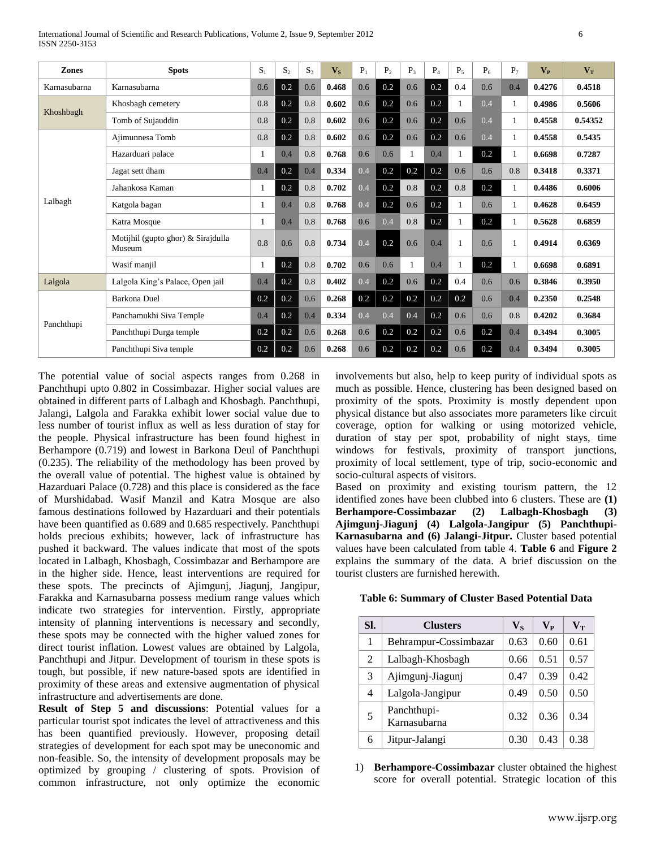| Zones        | <b>Spots</b>                                 | S <sub>1</sub> | $S_2$ | S <sub>3</sub> | $V_{\rm S}$ | $P_1$ | P <sub>2</sub> | $P_3$        | $P_4$ | $P_5$         | $P_6$ | $P_7$ | $V_{P}$ | $V_T$   |
|--------------|----------------------------------------------|----------------|-------|----------------|-------------|-------|----------------|--------------|-------|---------------|-------|-------|---------|---------|
| Karnasubarna | Karnasubarna                                 | 0.6            | 0.2   | 0.6            | 0.468       | 0.6   | 0.2            | 0.6          | 0.2   | 0.4           | 0.6   | 0.4   | 0.4276  | 0.4518  |
| Khoshbagh    | Khosbagh cemetery                            | 0.8            | 0.2   | 0.8            | 0.602       | 0.6   | 0.2            | 0.6          | 0.2   |               | 0.4   |       | 0.4986  | 0.5606  |
|              | Tomb of Sujauddin                            | 0.8            | 0.2   | 0.8            | 0.602       | 0.6   | 0.2            | 0.6          | 0.2   | 0.6           | 0.4   |       | 0.4558  | 0.54352 |
|              | Ajimunnesa Tomb                              | 0.8            | 0.2   | 0.8            | 0.602       | 0.6   | 0.2            | 0.6          | 0.2   | 0.6           | 0.4   | 1     | 0.4558  | 0.5435  |
|              | Hazarduari palace                            |                | 0.4   | 0.8            | 0.768       | 0.6   | 0.6            | $\mathbf{1}$ | 0.4   |               | 0.2   |       | 0.6698  | 0.7287  |
|              | Jagat sett dham                              | 0.4            | 0.2   | 0.4            | 0.334       | 0.4   | 0.2            | 0.2          | 0.2   | 0.6           | 0.6   | 0.8   | 0.3418  | 0.3371  |
|              | Jahankosa Kaman                              | 1              | 0.2   | 0.8            | 0.702       | 0.4   | 0.2            | 0.8          | 0.2   | 0.8           | 0.2   | 1     | 0.4486  | 0.6006  |
| Lalbagh      | Katgola bagan                                | 1              | 0.4   | 0.8            | 0.768       | 0.4   | 0.2            | 0.6          | 0.2   | 1             | 0.6   |       | 0.4628  | 0.6459  |
|              | Katra Mosque                                 |                | 0.4   | 0.8            | 0.768       | 0.6   | 0.4            | 0.8          | 0.2   |               | 0.2   |       | 0.5628  | 0.6859  |
|              | Motijhil (gupto ghor) & Sirajdulla<br>Museum | 0.8            | 0.6   | 0.8            | 0.734       | 0.4   | 0.2            | 0.6          | 0.4   | $\mathbf{1}$  | 0.6   |       | 0.4914  | 0.6369  |
|              | Wasif manjil                                 | 1              | 0.2   | 0.8            | 0.702       | 0.6   | 0.6            |              | 0.4   |               | 0.2   |       | 0.6698  | 0.6891  |
| Lalgola      | Lalgola King's Palace, Open jail             | 0.4            | 0.2   | 0.8            | 0.402       | 0.4   | 0.2            | 0.6          | 0.2   | 0.4           | 0.6   | 0.6   | 0.3846  | 0.3950  |
|              | Barkona Duel                                 | 0.2            | 0.2   | 0.6            | 0.268       | 0.2   | 0.2            | 0.2          | 0.2   | 0.2           | 0.6   | 0.4   | 0.2350  | 0.2548  |
| Panchthupi   | Panchamukhi Siva Temple                      | 0.4            | 0.2   | 0.4            | 0.334       | 0.4   | 0.4            | 0.4          | 0.2   | $0.6^{\circ}$ | 0.6   | 0.8   | 0.4202  | 0.3684  |
|              | Panchthupi Durga temple                      | 0.2            | 0.2   | 0.6            | 0.268       | 0.6   | 0.2            | 0.2          | 0.2   | 0.6           | 0.2   | 0.4   | 0.3494  | 0.3005  |
|              | Panchthupi Siva temple                       | 0.2            | 0.2   | 0.6            | 0.268       | 0.6   | 0.2            | 0.2          | 0.2   | 0.6           | 0.2   | 0.4   | 0.3494  | 0.3005  |

The potential value of social aspects ranges from 0.268 in Panchthupi upto 0.802 in Cossimbazar. Higher social values are obtained in different parts of Lalbagh and Khosbagh. Panchthupi, Jalangi, Lalgola and Farakka exhibit lower social value due to less number of tourist influx as well as less duration of stay for the people. Physical infrastructure has been found highest in Berhampore (0.719) and lowest in Barkona Deul of Panchthupi (0.235). The reliability of the methodology has been proved by the overall value of potential. The highest value is obtained by Hazarduari Palace (0.728) and this place is considered as the face of Murshidabad. Wasif Manzil and Katra Mosque are also famous destinations followed by Hazarduari and their potentials have been quantified as 0.689 and 0.685 respectively. Panchthupi holds precious exhibits; however, lack of infrastructure has pushed it backward. The values indicate that most of the spots located in Lalbagh, Khosbagh, Cossimbazar and Berhampore are in the higher side. Hence, least interventions are required for these spots. The precincts of Ajimgunj, Jiagunj, Jangipur, Farakka and Karnasubarna possess medium range values which indicate two strategies for intervention. Firstly, appropriate intensity of planning interventions is necessary and secondly, these spots may be connected with the higher valued zones for direct tourist inflation. Lowest values are obtained by Lalgola, Panchthupi and Jitpur. Development of tourism in these spots is tough, but possible, if new nature-based spots are identified in proximity of these areas and extensive augmentation of physical infrastructure and advertisements are done.

**Result of Step 5 and discussions**: Potential values for a particular tourist spot indicates the level of attractiveness and this has been quantified previously. However, proposing detail strategies of development for each spot may be uneconomic and non-feasible. So, the intensity of development proposals may be optimized by grouping / clustering of spots. Provision of common infrastructure, not only optimize the economic

involvements but also, help to keep purity of individual spots as much as possible. Hence, clustering has been designed based on proximity of the spots. Proximity is mostly dependent upon physical distance but also associates more parameters like circuit coverage, option for walking or using motorized vehicle, duration of stay per spot, probability of night stays, time windows for festivals, proximity of transport junctions, proximity of local settlement, type of trip, socio-economic and socio-cultural aspects of visitors.

Based on proximity and existing tourism pattern, the 12 identified zones have been clubbed into 6 clusters. These are **(1) Berhampore-Cossimbazar (2) Lalbagh-Khosbagh (3) Ajimgunj-Jiagunj (4) Lalgola-Jangipur (5) Panchthupi-Karnasubarna and (6) Jalangi-Jitpur.** Cluster based potential values have been calculated from table 4. **Table 6** and **Figure 2** explains the summary of the data. A brief discussion on the tourist clusters are furnished herewith.

#### **Table 6: Summary of Cluster Based Potential Data**

| SI. | <b>Clusters</b>             | $\mathbf{V}_\mathbf{S}$ | $V_{P}$ | $V_T$ |
|-----|-----------------------------|-------------------------|---------|-------|
| 1   | Behrampur-Cossimbazar       | 0.63                    | 0.60    | 0.61  |
| 2   | Lalbagh-Khosbagh            | 0.66                    | 0.51    | 0.57  |
| 3   | Ajimgunj-Jiagunj            | 0.47                    | 0.39    | 0.42  |
| 4   | Lalgola-Jangipur            | 0.49                    | 0.50    | 0.50  |
| 5   | Panchthupi-<br>Karnasubarna | 0.32                    | 0.36    | 0.34  |
| 6   | Jitpur-Jalangi              | 0.30                    | 0.43    | 0.38  |

1) **Berhampore-Cossimbazar** cluster obtained the highest score for overall potential. Strategic location of this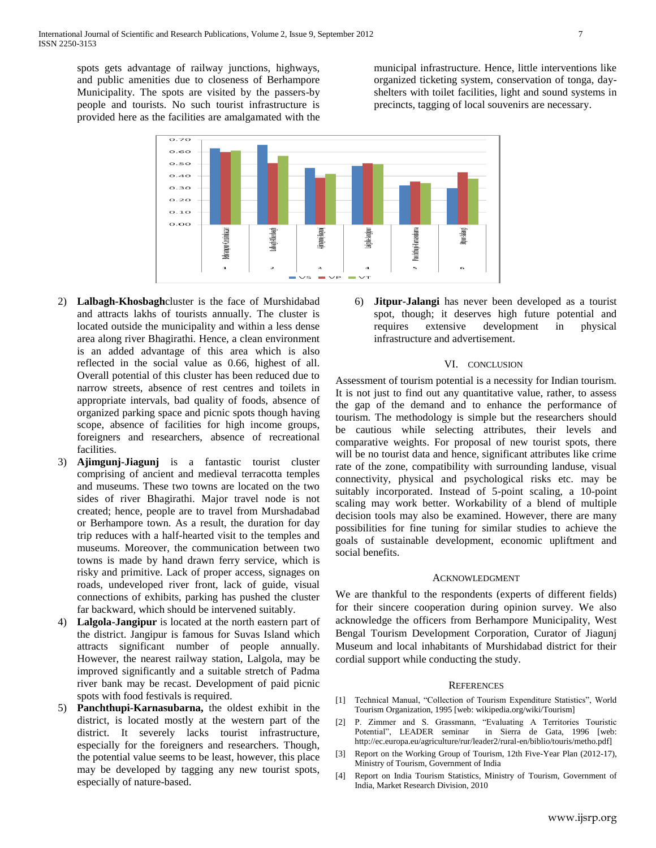spots gets advantage of railway junctions, highways, and public amenities due to closeness of Berhampore Municipality. The spots are visited by the passers-by people and tourists. No such tourist infrastructure is provided here as the facilities are amalgamated with the municipal infrastructure. Hence, little interventions like organized ticketing system, conservation of tonga, dayshelters with toilet facilities, light and sound systems in precincts, tagging of local souvenirs are necessary.



- 2) **Lalbagh-Khosbagh**cluster is the face of Murshidabad and attracts lakhs of tourists annually. The cluster is located outside the municipality and within a less dense area along river Bhagirathi. Hence, a clean environment is an added advantage of this area which is also reflected in the social value as 0.66, highest of all. Overall potential of this cluster has been reduced due to narrow streets, absence of rest centres and toilets in appropriate intervals, bad quality of foods, absence of organized parking space and picnic spots though having scope, absence of facilities for high income groups, foreigners and researchers, absence of recreational facilities.
- 3) **Ajimgunj-Jiagunj** is a fantastic tourist cluster comprising of ancient and medieval terracotta temples and museums. These two towns are located on the two sides of river Bhagirathi. Major travel node is not created; hence, people are to travel from Murshadabad or Berhampore town. As a result, the duration for day trip reduces with a half-hearted visit to the temples and museums. Moreover, the communication between two towns is made by hand drawn ferry service, which is risky and primitive. Lack of proper access, signages on roads, undeveloped river front, lack of guide, visual connections of exhibits, parking has pushed the cluster far backward, which should be intervened suitably.
- 4) **Lalgola-Jangipur** is located at the north eastern part of the district. Jangipur is famous for Suvas Island which attracts significant number of people annually. However, the nearest railway station, Lalgola, may be improved significantly and a suitable stretch of Padma river bank may be recast. Development of paid picnic spots with food festivals is required.
- 5) **Panchthupi-Karnasubarna,** the oldest exhibit in the district, is located mostly at the western part of the district. It severely lacks tourist infrastructure, especially for the foreigners and researchers. Though, the potential value seems to be least, however, this place may be developed by tagging any new tourist spots, especially of nature-based.

6) **Jitpur-Jalangi** has never been developed as a tourist spot, though; it deserves high future potential and requires extensive development in physical infrastructure and advertisement.

#### VI. CONCLUSION

Assessment of tourism potential is a necessity for Indian tourism. It is not just to find out any quantitative value, rather, to assess the gap of the demand and to enhance the performance of tourism. The methodology is simple but the researchers should be cautious while selecting attributes, their levels and comparative weights. For proposal of new tourist spots, there will be no tourist data and hence, significant attributes like crime rate of the zone, compatibility with surrounding landuse, visual connectivity, physical and psychological risks etc. may be suitably incorporated. Instead of 5-point scaling, a 10-point scaling may work better. Workability of a blend of multiple decision tools may also be examined. However, there are many possibilities for fine tuning for similar studies to achieve the goals of sustainable development, economic upliftment and social benefits.

## ACKNOWLEDGMENT

We are thankful to the respondents (experts of different fields) for their sincere cooperation during opinion survey. We also acknowledge the officers from Berhampore Municipality, West Bengal Tourism Development Corporation, Curator of Jiagunj Museum and local inhabitants of Murshidabad district for their cordial support while conducting the study.

#### REFERENCES

- [1] Technical Manual, "Collection of Tourism Expenditure Statistics", World Tourism Organization, 1995 [web: wikipedia.org/wiki/Tourism]
- [2] P. Zimmer and S. Grassmann, "Evaluating A Territories Touristic Potential", LEADER seminar in Sierra de Gata, 1996 [web: http://ec.europa.eu/agriculture/rur/leader2/rural-en/biblio/touris/metho.pdf]
- [3] Report on the Working Group of Tourism, 12th Five-Year Plan (2012-17), Ministry of Tourism, Government of India
- [4] Report on India Tourism Statistics, Ministry of Tourism, Government of India, Market Research Division, 2010